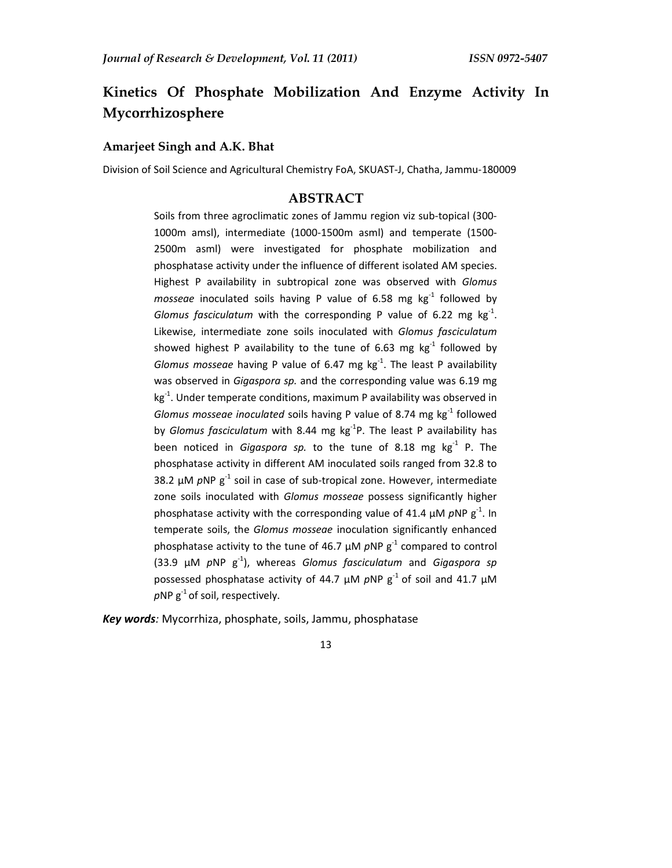# **Kinetics Of Phosphate Mobilization And Enzyme Activity In Mycorrhizosphere**

#### **Amarjeet Singh and A.K. Bhat**

Division of Soil Science and Agricultural Chemistry FoA, SKUAST-J, Chatha, Jammu-180009

# **ABSTRACT**

Soils from three agroclimatic zones of Jammu region viz sub-topical (300- 1000m amsl), intermediate (1000-1500m asml) and temperate (1500- 2500m asml) were investigated for phosphate mobilization and phosphatase activity under the influence of different isolated AM species. Highest P availability in subtropical zone was observed with *Glomus mosseae* inoculated soils having P value of 6.58 mg kg-1 followed by *Glomus fasciculatum* with the corresponding P value of 6.22 mg  $kg<sup>-1</sup>$ . Likewise, intermediate zone soils inoculated with *Glomus fasciculatum* showed highest P availability to the tune of 6.63 mg  $kg<sup>-1</sup>$  followed by *Glomus mosseae* having P value of 6.47 mg kg-1. The least P availability was observed in *Gigaspora sp.* and the corresponding value was 6.19 mg kg<sup>-1</sup>. Under temperate conditions, maximum P availability was observed in *Glomus mosseae inoculated* soils having P value of 8.74 mg kg-1 followed by *Glomus fasciculatum* with 8.44 mg kg-1P. The least P availability has been noticed in *Gigaspora sp.* to the tune of 8.18 mg kg<sup>-1</sup> P. The phosphatase activity in different AM inoculated soils ranged from 32.8 to 38.2  $\mu$ M  $p$ NP  $g^{-1}$  soil in case of sub-tropical zone. However, intermediate zone soils inoculated with *Glomus mosseae* possess significantly higher phosphatase activity with the corresponding value of 41.4  $\mu$ M  $p$ NP  $g^{-1}$ . In temperate soils, the *Glomus mosseae* inoculation significantly enhanced phosphatase activity to the tune of 46.7  $\mu$ M  $\rho$ NP  $g^{-1}$  compared to control (33.9 µM *p*NP g-1), whereas *Glomus fasciculatum* and *Gigaspora sp*  possessed phosphatase activity of 44.7  $\mu$ M *p*NP g<sup>-1</sup> of soil and 41.7  $\mu$ M  $pNP g^{-1}$  of soil, respectively.

*Key words:* Mycorrhiza, phosphate, soils, Jammu, phosphatase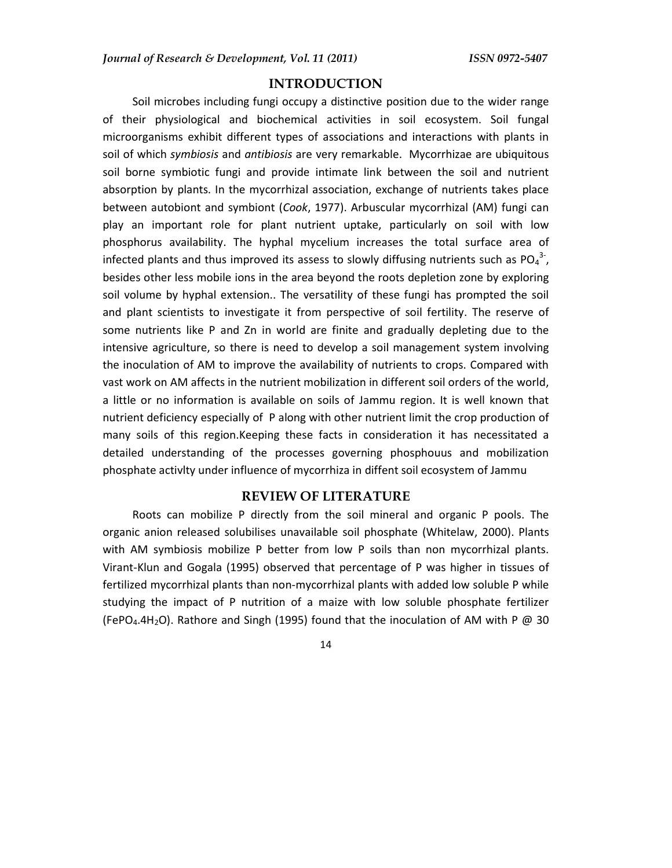## **INTRODUCTION**

Soil microbes including fungi occupy a distinctive position due to the wider range of their physiological and biochemical activities in soil ecosystem. Soil fungal microorganisms exhibit different types of associations and interactions with plants in soil of which *symbiosis* and *antibiosis* are very remarkable. Mycorrhizae are ubiquitous soil borne symbiotic fungi and provide intimate link between the soil and nutrient absorption by plants. In the mycorrhizal association, exchange of nutrients takes place between autobiont and symbiont (*Cook*, 1977). Arbuscular mycorrhizal (AM) fungi can play an important role for plant nutrient uptake, particularly on soil with low phosphorus availability. The hyphal mycelium increases the total surface area of infected plants and thus improved its assess to slowly diffusing nutrients such as  $PO_4^{3.}$ , besides other less mobile ions in the area beyond the roots depletion zone by exploring soil volume by hyphal extension.. The versatility of these fungi has prompted the soil and plant scientists to investigate it from perspective of soil fertility. The reserve of some nutrients like P and Zn in world are finite and gradually depleting due to the intensive agriculture, so there is need to develop a soil management system involving the inoculation of AM to improve the availability of nutrients to crops. Compared with vast work on AM affects in the nutrient mobilization in different soil orders of the world, a little or no information is available on soils of Jammu region. It is well known that nutrient deficiency especially of P along with other nutrient limit the crop production of many soils of this region.Keeping these facts in consideration it has necessitated a detailed understanding of the processes governing phosphouus and mobilization phosphate activlty under influence of mycorrhiza in diffent soil ecosystem of Jammu

#### **REVIEW OF LITERATURE**

Roots can mobilize P directly from the soil mineral and organic P pools. The organic anion released solubilises unavailable soil phosphate (Whitelaw, 2000). Plants with AM symbiosis mobilize P better from low P soils than non mycorrhizal plants. Virant-Klun and Gogala (1995) observed that percentage of P was higher in tissues of fertilized mycorrhizal plants than non-mycorrhizal plants with added low soluble P while studying the impact of P nutrition of a maize with low soluble phosphate fertilizer (FePO<sub>4</sub>.4H<sub>2</sub>O). Rathore and Singh (1995) found that the inoculation of AM with P @ 30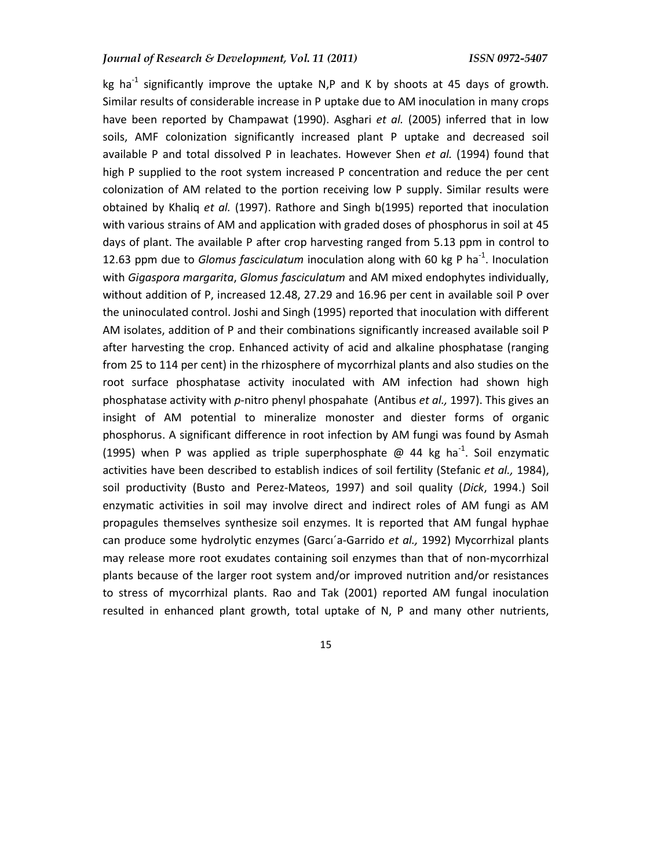kg ha<sup>-1</sup> significantly improve the uptake N,P and K by shoots at 45 days of growth. Similar results of considerable increase in P uptake due to AM inoculation in many crops have been reported by Champawat (1990). Asghari *et al.* (2005) inferred that in low soils, AMF colonization significantly increased plant P uptake and decreased soil available P and total dissolved P in leachates. However Shen *et al.* (1994) found that high P supplied to the root system increased P concentration and reduce the per cent colonization of AM related to the portion receiving low P supply. Similar results were obtained by Khaliq *et al.* (1997). Rathore and Singh b(1995) reported that inoculation with various strains of AM and application with graded doses of phosphorus in soil at 45 days of plant. The available P after crop harvesting ranged from 5.13 ppm in control to 12.63 ppm due to *Glomus fasciculatum* inoculation along with 60 kg P ha<sup>-1</sup>. Inoculation with *Gigaspora margarita*, *Glomus fasciculatum* and AM mixed endophytes individually, without addition of P, increased 12.48, 27.29 and 16.96 per cent in available soil P over the uninoculated control. Joshi and Singh (1995) reported that inoculation with different AM isolates, addition of P and their combinations significantly increased available soil P after harvesting the crop. Enhanced activity of acid and alkaline phosphatase (ranging from 25 to 114 per cent) in the rhizosphere of mycorrhizal plants and also studies on the root surface phosphatase activity inoculated with AM infection had shown high phosphatase activity with *p*-nitro phenyl phospahate (Antibus *et al.,* 1997). This gives an insight of AM potential to mineralize monoster and diester forms of organic phosphorus. A significant difference in root infection by AM fungi was found by Asmah (1995) when P was applied as triple superphosphate  $\omega$  44 kg ha<sup>-1</sup>. Soil enzymatic activities have been described to establish indices of soil fertility (Stefanic *et al.,* 1984), soil productivity (Busto and Perez-Mateos, 1997) and soil quality (*Dick*, 1994.) Soil enzymatic activities in soil may involve direct and indirect roles of AM fungi as AM propagules themselves synthesize soil enzymes. It is reported that AM fungal hyphae can produce some hydrolytic enzymes (Garcı´a-Garrido *et al.,* 1992) Mycorrhizal plants may release more root exudates containing soil enzymes than that of non-mycorrhizal plants because of the larger root system and/or improved nutrition and/or resistances to stress of mycorrhizal plants. Rao and Tak (2001) reported AM fungal inoculation resulted in enhanced plant growth, total uptake of N, P and many other nutrients,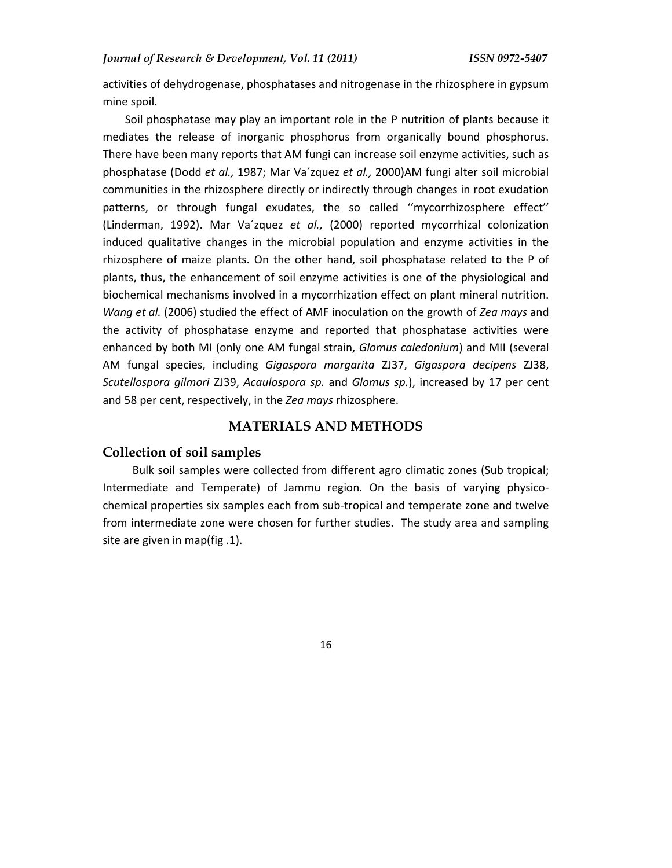activities of dehydrogenase, phosphatases and nitrogenase in the rhizosphere in gypsum mine spoil.

Soil phosphatase may play an important role in the P nutrition of plants because it mediates the release of inorganic phosphorus from organically bound phosphorus. There have been many reports that AM fungi can increase soil enzyme activities, such as phosphatase (Dodd *et al.,* 1987; Mar Va´zquez *et al.,* 2000)AM fungi alter soil microbial communities in the rhizosphere directly or indirectly through changes in root exudation patterns, or through fungal exudates, the so called ''mycorrhizosphere effect'' (Linderman, 1992). Mar Va´zquez *et al.,* (2000) reported mycorrhizal colonization induced qualitative changes in the microbial population and enzyme activities in the rhizosphere of maize plants. On the other hand, soil phosphatase related to the P of plants, thus, the enhancement of soil enzyme activities is one of the physiological and biochemical mechanisms involved in a mycorrhization effect on plant mineral nutrition. *Wang et al.* (2006) studied the effect of AMF inoculation on the growth of *Zea mays* and the activity of phosphatase enzyme and reported that phosphatase activities were enhanced by both MI (only one AM fungal strain, *Glomus caledonium*) and MII (several AM fungal species, including *Gigaspora margarita* ZJ37, *Gigaspora decipens* ZJ38, *Scutellospora gilmori* ZJ39, *Acaulospora sp.* and *Glomus sp.*), increased by 17 per cent and 58 per cent, respectively, in the *Zea mays* rhizosphere.

#### **MATERIALS AND METHODS**

## **Collection of soil samples**

Bulk soil samples were collected from different agro climatic zones (Sub tropical; Intermediate and Temperate) of Jammu region. On the basis of varying physicochemical properties six samples each from sub-tropical and temperate zone and twelve from intermediate zone were chosen for further studies. The study area and sampling site are given in map(fig .1).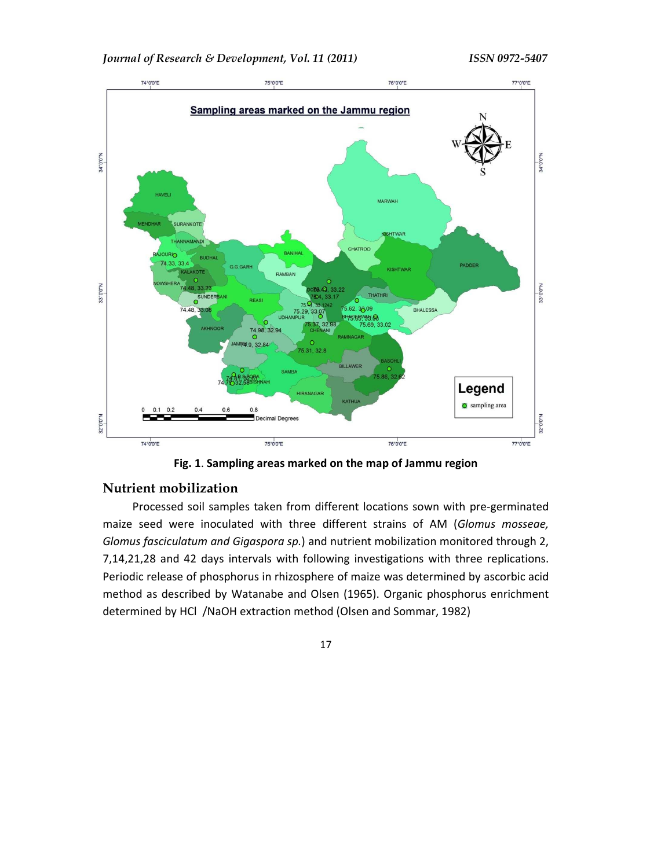



**Fig. 1**. **Sampling areas marked on the map of Jammu region** 

## **Nutrient mobilization**

Processed soil samples taken from different locations sown with pre-germinated maize seed were inoculated with three different strains of AM (*Glomus mosseae, Glomus fasciculatum and Gigaspora sp.*) and nutrient mobilization monitored through 2, 7,14,21,28 and 42 days intervals with following investigations with three replications. Periodic release of phosphorus in rhizosphere of maize was determined by ascorbic acid method as described by Watanabe and Olsen (1965). Organic phosphorus enrichment determined by HCl /NaOH extraction method (Olsen and Sommar, 1982)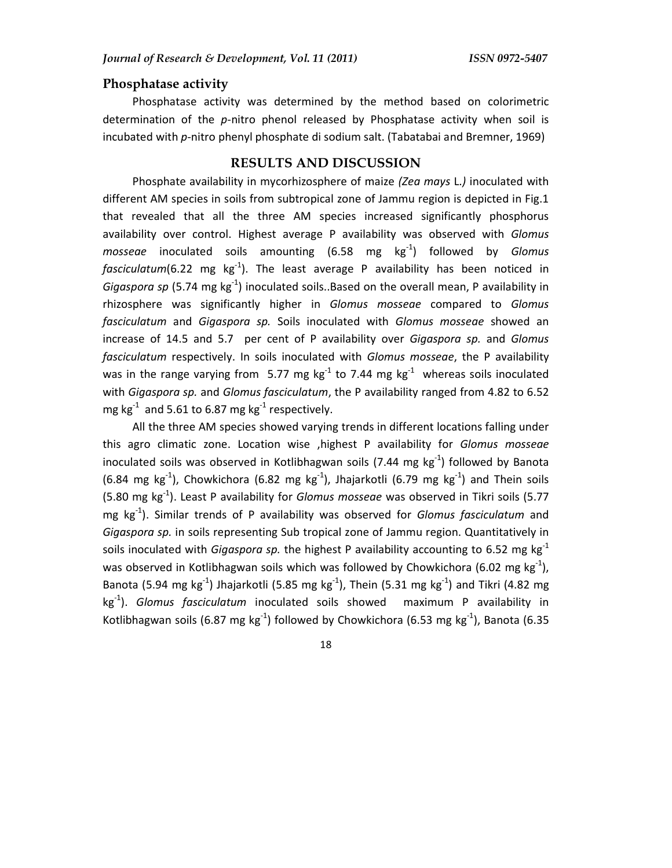## **Phosphatase activity**

Phosphatase activity was determined by the method based on colorimetric determination of the *p-*nitro phenol released by Phosphatase activity when soil is incubated with *p-*nitro phenyl phosphate di sodium salt. (Tabatabai and Bremner, 1969)

# **RESULTS AND DISCUSSION**

Phosphate availability in mycorhizosphere of maize *(Zea mays* L.*)* inoculated with different AM species in soils from subtropical zone of Jammu region is depicted in Fig.1 that revealed that all the three AM species increased significantly phosphorus availability over control. Highest average P availability was observed with *Glomus mosseae* inoculated soils amounting (6.58 mg kg-1) followed by *Glomus fasciculatum*(6.22 mg  $kg^{-1}$ ). The least average P availability has been noticed in *Gigaspora sp* (5.74 mg kg<sup>-1</sup>) inoculated soils..Based on the overall mean, P availability in rhizosphere was significantly higher in *Glomus mosseae* compared to *Glomus fasciculatum* and *Gigaspora sp.* Soils inoculated with *Glomus mosseae* showed an increase of 14.5 and 5.7 per cent of P availability over *Gigaspora sp.* and *Glomus fasciculatum* respectively. In soils inoculated with *Glomus mosseae*, the P availability was in the range varying from 5.77 mg  $kg^{-1}$  to 7.44 mg  $kg^{-1}$  whereas soils inoculated with *Gigaspora sp.* and *Glomus fasciculatum*, the P availability ranged from 4.82 to 6.52 mg kg<sup>-1</sup> and 5.61 to 6.87 mg kg<sup>-1</sup> respectively.

All the three AM species showed varying trends in different locations falling under this agro climatic zone. Location wise ,highest P availability for *Glomus mosseae* inoculated soils was observed in Kotlibhagwan soils (7.44 mg  $kg^{-1}$ ) followed by Banota (6.84 mg kg<sup>-1</sup>), Chowkichora (6.82 mg kg<sup>-1</sup>), Jhajarkotli (6.79 mg kg<sup>-1</sup>) and Thein soils (5.80 mg kg-1). Least P availability for *Glomus mosseae* was observed in Tikri soils (5.77 mg kg-1). Similar trends of P availability was observed for *Glomus fasciculatum* and *Gigaspora sp.* in soils representing Sub tropical zone of Jammu region. Quantitatively in soils inoculated with *Gigaspora sp.* the highest P availability accounting to 6.52 mg kg-1 was observed in Kotlibhagwan soils which was followed by Chowkichora (6.02 mg kg $^{-1}$ ), Banota (5.94 mg kg $^{-1}$ ) Jhajarkotli (5.85 mg kg $^{-1}$ ), Thein (5.31 mg kg $^{-1}$ ) and Tikri (4.82 mg kg-1). *Glomus fasciculatum* inoculated soils showed maximum P availability in Kotlibhagwan soils (6.87 mg kg<sup>-1</sup>) followed by Chowkichora (6.53 mg kg<sup>-1</sup>), Banota (6.35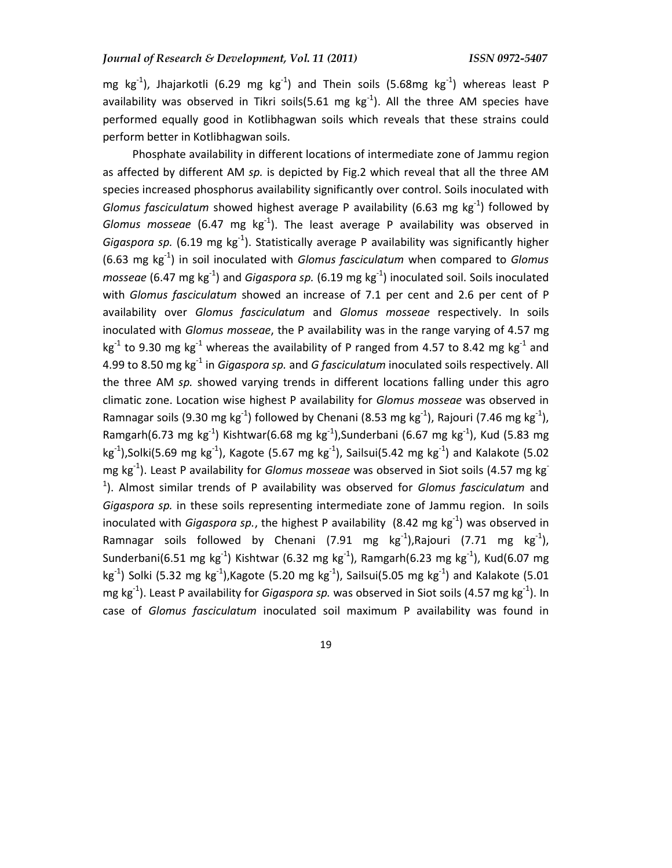mg kg<sup>-1</sup>), Jhajarkotli (6.29 mg kg<sup>-1</sup>) and Thein soils (5.68mg kg<sup>-1</sup>) whereas least P availability was observed in Tikri soils(5.61 mg  $kg^{-1}$ ). All the three AM species have performed equally good in Kotlibhagwan soils which reveals that these strains could perform better in Kotlibhagwan soils.

Phosphate availability in different locations of intermediate zone of Jammu region as affected by different AM *sp.* is depicted by Fig.2 which reveal that all the three AM species increased phosphorus availability significantly over control. Soils inoculated with *Glomus fasciculatum* showed highest average P availability (6.63 mg kg<sup>-1</sup>) followed by *Glomus mosseae* (6.47 mg kg<sup>-1</sup>). The least average P availability was observed in *Gigaspora sp.* (6.19 mg  $kg^{-1}$ ). Statistically average P availability was significantly higher (6.63 mg kg-1) in soil inoculated with *Glomus fasciculatum* when compared to *Glomus mosseae* (6.47 mg kg<sup>-1</sup>) and *Gigaspora sp.* (6.19 mg kg<sup>-1</sup>) inoculated soil. Soils inoculated with *Glomus fasciculatum* showed an increase of 7.1 per cent and 2.6 per cent of P availability over *Glomus fasciculatum* and *Glomus mosseae* respectively. In soils inoculated with *Glomus mosseae*, the P availability was in the range varying of 4.57 mg kg<sup>-1</sup> to 9.30 mg kg<sup>-1</sup> whereas the availability of P ranged from 4.57 to 8.42 mg kg<sup>-1</sup> and 4.99 to 8.50 mg kg-1 in *Gigaspora sp.* and *G fasciculatum* inoculated soils respectively. All the three AM *sp.* showed varying trends in different locations falling under this agro climatic zone. Location wise highest P availability for *Glomus mosseae* was observed in Ramnagar soils (9.30 mg kg<sup>-1</sup>) followed by Chenani (8.53 mg kg<sup>-1</sup>), Rajouri (7.46 mg kg<sup>-1</sup>), Ramgarh(6.73 mg kg<sup>-1</sup>) Kishtwar(6.68 mg kg<sup>-1</sup>),Sunderbani (6.67 mg kg<sup>-1</sup>), Kud (5.83 mg  $kg^{-1}$ ),Solki(5.69 mg kg<sup>-1</sup>), Kagote (5.67 mg kg<sup>-1</sup>), Sailsui(5.42 mg kg<sup>-1</sup>) and Kalakote (5.02 mg kg-1). Least P availability for *Glomus mosseae* was observed in Siot soils (4.57 mg kg-1 ). Almost similar trends of P availability was observed for *Glomus fasciculatum* and *Gigaspora sp.* in these soils representing intermediate zone of Jammu region. In soils inoculated with *Gigaspora sp.*, the highest P availability (8.42 mg kg<sup>-1</sup>) was observed in Ramnagar soils followed by Chenani (7.91 mg kg<sup>-1</sup>),Rajouri (7.71 mg kg<sup>-1</sup>), Sunderbani(6.51 mg kg<sup>-1</sup>) Kishtwar (6.32 mg kg<sup>-1</sup>), Ramgarh(6.23 mg kg<sup>-1</sup>), Kud(6.07 mg kg<sup>-1</sup>) Solki (5.32 mg kg<sup>-1</sup>), Kagote (5.20 mg kg<sup>-1</sup>), Sailsui(5.05 mg kg<sup>-1</sup>) and Kalakote (5.01 mg kg-1). Least P availability for *Gigaspora sp.* was observed in Siot soils (4.57 mg kg-1). In case of *Glomus fasciculatum* inoculated soil maximum P availability was found in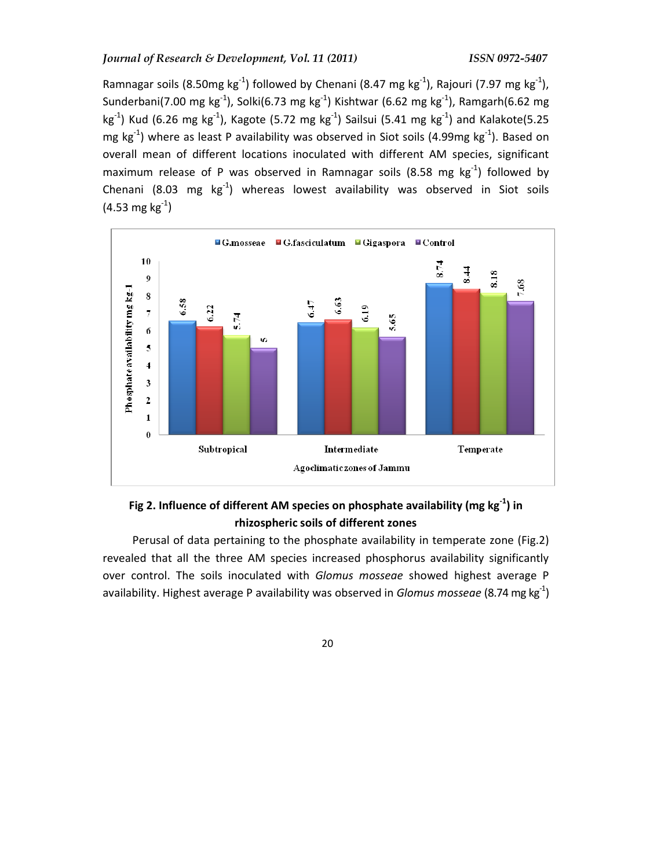Ramnagar soils (8.50mg kg<sup>-1</sup>) followed by Chenani (8.47 mg kg<sup>-1</sup>), Rajouri (7.97 mg kg<sup>-1</sup>), Sunderbani(7.00 mg kg<sup>-1</sup>), Solki(6.73 mg kg<sup>-1</sup>) Kishtwar (6.62 mg kg<sup>-1</sup>), Ramgarh(6.62 mg  $kg^{-1}$ ) Kud (6.26 mg kg<sup>-1</sup>), Kagote (5.72 mg kg<sup>-1</sup>) Sailsui (5.41 mg kg<sup>-1</sup>) and Kalakote(5.25 mg  $kg^{-1}$ ) where as least P availability was observed in Siot soils (4.99mg  $kg^{-1}$ ). Based on overall mean of different locations inoculated with different AM species, significant maximum release of P was observed in Ramnagar soils (8.58 mg  $kg^{-1}$ ) followed by Chenani (8.03 mg  $kg^{-1}$ ) whereas lowest availability was observed in Siot soils  $(4.53 \text{ mg kg}^{-1})$ 



# **Fig 2. Influence of different AM species on phosphate availability (mg kg-1) in rhizospheric soils of different zones**

Perusal of data pertaining to the phosphate availability in temperate zone (Fig.2) revealed that all the three AM species increased phosphorus availability significantly over control. The soils inoculated with *Glomus mosseae* showed highest average P availability. Highest average P availability was observed in *Glomus mosseae* (8.74 mg kg-1)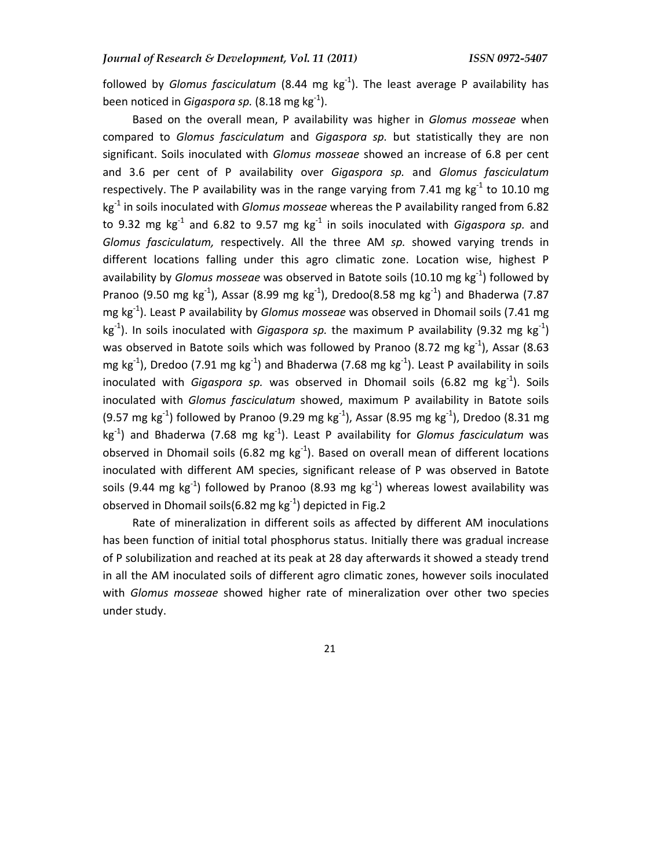followed by *Glomus fasciculatum* (8.44 mg kg-1). The least average P availability has been noticed in *Gigaspora sp.* (8.18 mg kg-1).

Based on the overall mean, P availability was higher in *Glomus mosseae* when compared to *Glomus fasciculatum* and *Gigaspora sp.* but statistically they are non significant. Soils inoculated with *Glomus mosseae* showed an increase of 6.8 per cent and 3.6 per cent of P availability over *Gigaspora sp.* and *Glomus fasciculatum* respectively. The P availability was in the range varying from 7.41 mg  $kg<sup>-1</sup>$  to 10.10 mg kg-1 in soils inoculated with *Glomus mosseae* whereas the P availability ranged from 6.82 to 9.32 mg  $kg^{-1}$  and 6.82 to 9.57 mg  $kg^{-1}$  in soils inoculated with *Gigaspora sp.* and *Glomus fasciculatum,* respectively. All the three AM *sp.* showed varying trends in different locations falling under this agro climatic zone. Location wise, highest P availability by *Glomus mosseae* was observed in Batote soils (10.10 mg kg<sup>-1</sup>) followed by Pranoo (9.50 mg kg<sup>-1</sup>), Assar (8.99 mg kg<sup>-1</sup>), Dredoo(8.58 mg kg<sup>-1</sup>) and Bhaderwa (7.87 mg kg-1). Least P availability by *Glomus mosseae* was observed in Dhomail soils (7.41 mg kg<sup>-1</sup>). In soils inoculated with *Gigaspora sp.* the maximum P availability (9.32 mg kg<sup>-1</sup>) was observed in Batote soils which was followed by Pranoo (8.72 mg kg $^{-1}$ ), Assar (8.63 mg kg<sup>-1</sup>), Dredoo (7.91 mg kg<sup>-1</sup>) and Bhaderwa (7.68 mg kg<sup>-1</sup>). Least P availability in soils inoculated with *Gigaspora sp.* was observed in Dhomail soils (6.82 mg kg<sup>-1</sup>). Soils inoculated with *Glomus fasciculatum* showed, maximum P availability in Batote soils (9.57 mg kg<sup>-1</sup>) followed by Pranoo (9.29 mg kg<sup>-1</sup>), Assar (8.95 mg kg<sup>-1</sup>), Dredoo (8.31 mg kg-1) and Bhaderwa (7.68 mg kg-1). Least P availability for *Glomus fasciculatum* was observed in Dhomail soils (6.82 mg  $kg^{-1}$ ). Based on overall mean of different locations inoculated with different AM species, significant release of P was observed in Batote soils (9.44 mg  $kg^{-1}$ ) followed by Pranoo (8.93 mg  $kg^{-1}$ ) whereas lowest availability was observed in Dhomail soils(6.82 mg kg $^{-1}$ ) depicted in Fig.2

Rate of mineralization in different soils as affected by different AM inoculations has been function of initial total phosphorus status. Initially there was gradual increase of P solubilization and reached at its peak at 28 day afterwards it showed a steady trend in all the AM inoculated soils of different agro climatic zones, however soils inoculated with *Glomus mosseae* showed higher rate of mineralization over other two species under study.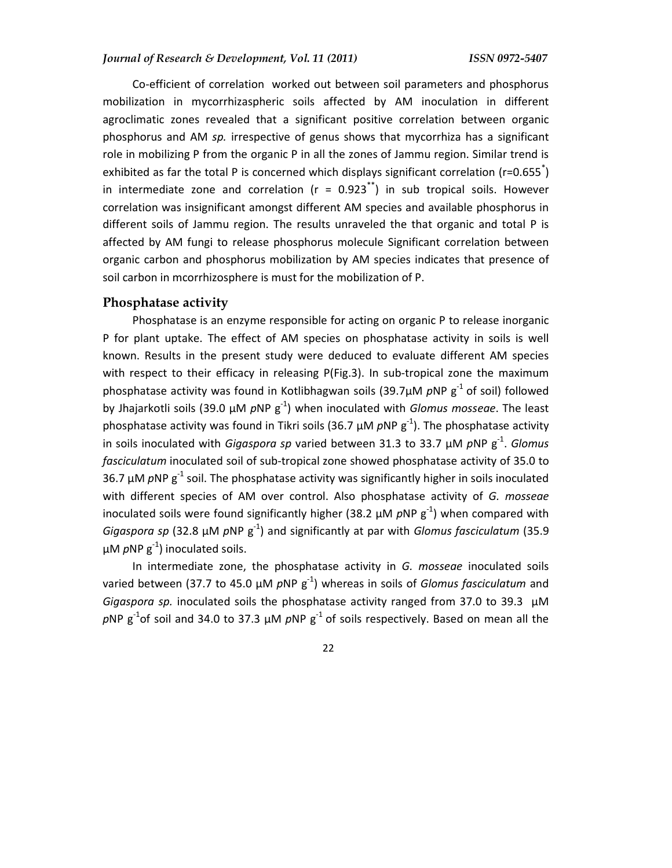Co-efficient of correlation worked out between soil parameters and phosphorus mobilization in mycorrhizaspheric soils affected by AM inoculation in different agroclimatic zones revealed that a significant positive correlation between organic phosphorus and AM *sp.* irrespective of genus shows that mycorrhiza has a significant role in mobilizing P from the organic P in all the zones of Jammu region. Similar trend is exhibited as far the total P is concerned which displays significant correlation (r=0.655<sup>\*</sup>) in intermediate zone and correlation ( $r = 0.923^{*}$ ) in sub tropical soils. However correlation was insignificant amongst different AM species and available phosphorus in different soils of Jammu region. The results unraveled the that organic and total P is affected by AM fungi to release phosphorus molecule Significant correlation between organic carbon and phosphorus mobilization by AM species indicates that presence of soil carbon in mcorrhizosphere is must for the mobilization of P.

#### **Phosphatase activity**

Phosphatase is an enzyme responsible for acting on organic P to release inorganic P for plant uptake. The effect of AM species on phosphatase activity in soils is well known. Results in the present study were deduced to evaluate different AM species with respect to their efficacy in releasing P(Fig.3). In sub-tropical zone the maximum phosphatase activity was found in Kotlibhagwan soils (39.7 $\mu$ M  $\rho$ NP  $g^{-1}$  of soil) followed by Jhajarkotli soils (39.0 µM *p*NP g-1) when inoculated with *Glomus mosseae*. The least phosphatase activity was found in Tikri soils (36.7  $\mu$ M *p*NP g<sup>-1</sup>). The phosphatase activity in soils inoculated with *Gigaspora sp* varied between 31.3 to 33.7 µM pNP  $g^{-1}$ . *Glomus fasciculatum* inoculated soil of sub-tropical zone showed phosphatase activity of 35.0 to 36.7  $\mu$ M *p*NP g<sup>-1</sup> soil. The phosphatase activity was significantly higher in soils inoculated with different species of AM over control. Also phosphatase activity of *G. mosseae*  inoculated soils were found significantly higher (38.2  $\mu$ M  $\rho$ NP  $g^{-1}$ ) when compared with *Gigaspora sp* (32.8 µM *p*NP g-1) and significantly at par with *Glomus fasciculatum* (35.9  $\mu$ M *p*NP  $g^{-1}$ ) inoculated soils.

In intermediate zone, the phosphatase activity in *G. mosseae* inoculated soils varied between (37.7 to 45.0 µM *p*NP g-1) whereas in soils of *Glomus fasciculatum* and *Gigaspora sp.* inoculated soils the phosphatase activity ranged from 37.0 to 39.3 µM  $pNP$  g<sup>-1</sup>of soil and 34.0 to 37.3  $\mu$ M  $pNP$  g<sup>-1</sup> of soils respectively. Based on mean all the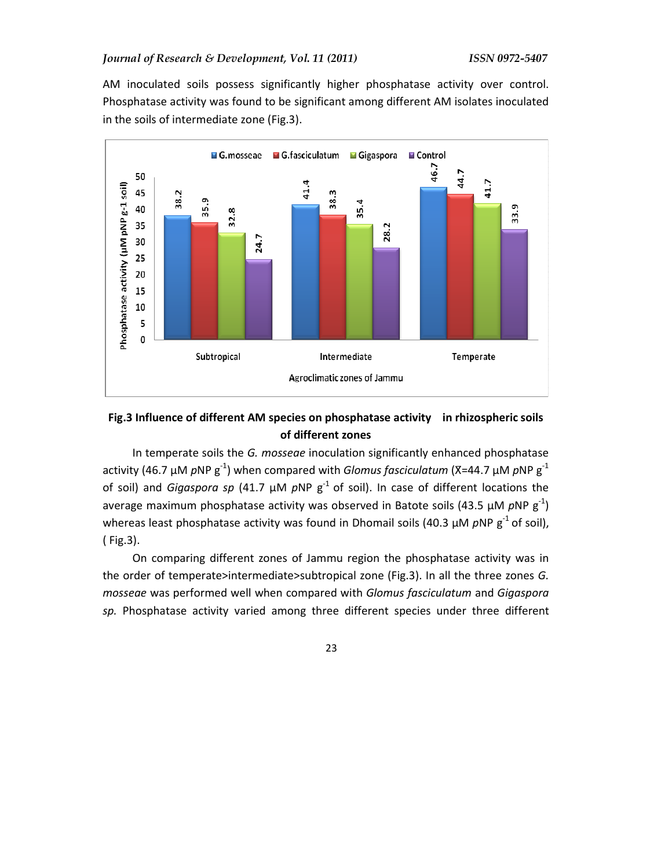AM inoculated soils possess significantly higher phosphatase activity over control. Phosphatase activity was found to be significant among different AM isolates inoculated in the soils of intermediate zone (Fig.3).



## **Fig.3 Influence of different AM species on phosphatase activity in rhizospheric soils of different zones**

In temperate soils the *G. mosseae* inoculation significantly enhanced phosphatase activity (46.7 µM *p*NP g<sup>-1</sup>) when compared with *Glomus fasciculatum* (X=44.7 µM *p*NP g<sup>-1</sup> of soil) and *Gigaspora sp* (41.7  $\mu$ M  $pNP$   $g^{-1}$  of soil). In case of different locations the average maximum phosphatase activity was observed in Batote soils (43.5  $\mu$ M  $pNP$   $g^{-1}$ ) whereas least phosphatase activity was found in Dhomail soils (40.3 µM pNP g<sup>-1</sup> of soil), ( Fig.3).

On comparing different zones of Jammu region the phosphatase activity was in the order of temperate>intermediate>subtropical zone (Fig.3). In all the three zones *G. mosseae* was performed well when compared with *Glomus fasciculatum* and *Gigaspora sp.* Phosphatase activity varied among three different species under three different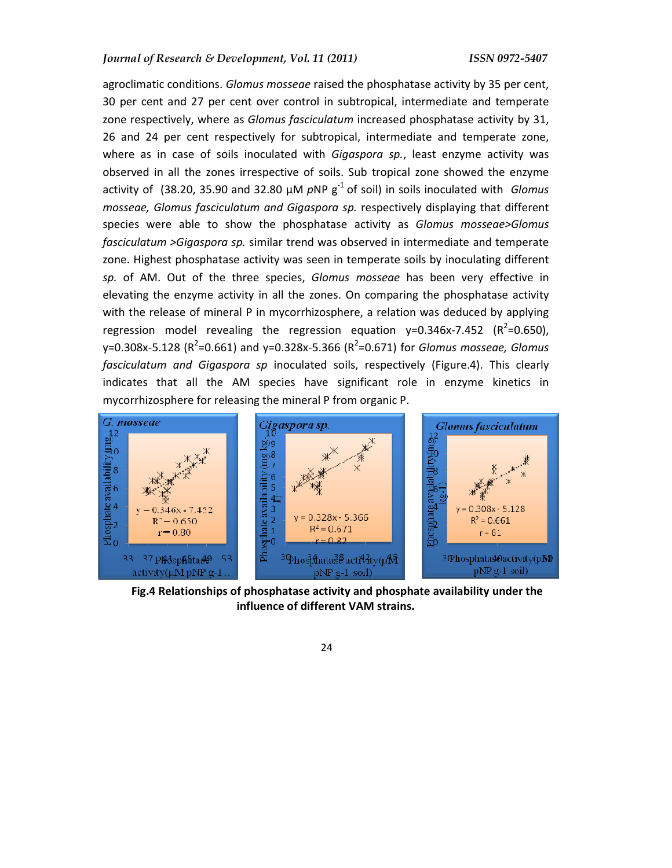agroclimatic conditions. *Glomus mosseae* raised the phosphatase activity by 35 per cent, 30 per cent and 27 per cent over control in subtropical, intermediate and temperate zone respectively, where as *Glomus fasciculatum* increased phosphatase activity by 31, 26 and 24 per cent respectively for subtropical, intermediate and temperate zone, where as in case of soils inoculated with *Gigaspora sp.*, least enzyme activity was observed in all the zones irrespective of soils. Sub tropical zone showed the enzyme activity of (38.20, 35.90 and 32.80  $\mu$ M  $\rho$ NP  $g^{-1}$  of soil) in soils inoculated with *Glomus mosseae, Glomus fasciculatum and Gigaspora sp.* respectively displaying that different species were able to show the phosphatase activity as *Glomus mosseae>Glomus fasciculatum >Gigaspora sp.* similar trend was observed in intermediate and temperate zone. Highest phosphatase activity was seen in temperate soils by inoculating different *sp.* of AM. Out of the three species, *Glomus mosseae* has been very effective in elevating the enzyme activity in all the zones. On comparing the phosphatase activity with the release of mineral P in mycorrhizosphere, a relation was deduced by applying regression model revealing the regression equation  $y=0.346x-7.452$  (R<sup>2</sup>=0.650), y=0.308x-5.128 (R<sup>2</sup>=0.661) and y=0.328x-5.366 (R<sup>2</sup>=0.671) for *Glomus mosseae, Glomus fasciculatum and Gigaspora sp* inoculated soils, respectively (Figure.4). This clearly indicates that all the AM species have significant role in enzyme kinetics in mycorrhizosphere for releasing the mineral P from organic P.



**Fig.4 Relationships of phosphatase activity and phosphate availability under the influence of different VAM strains.**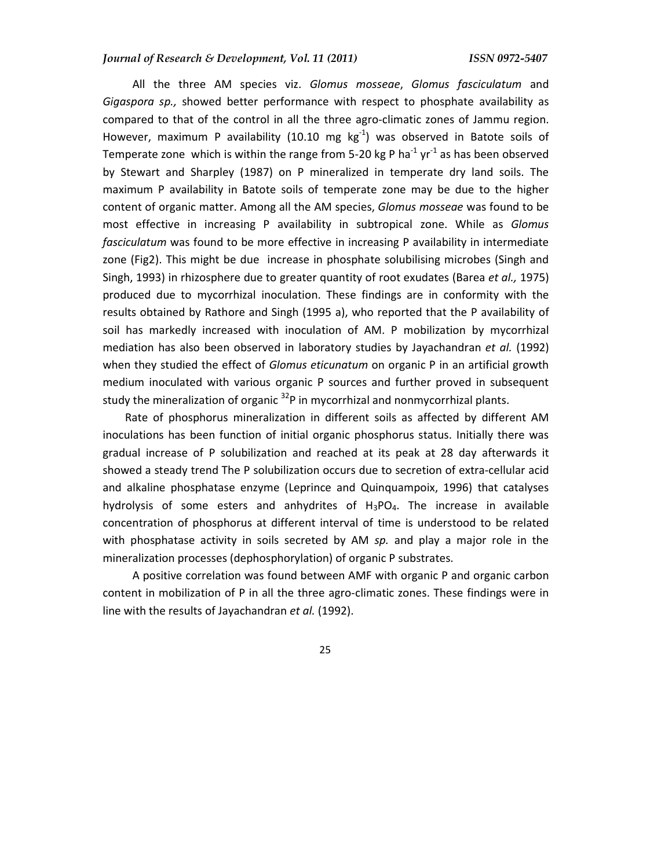#### *Journal of Research & Development, Vol. 11 (2011) ISSN 0972-5407*

All the three AM species viz. *Glomus mosseae*, *Glomus fasciculatum* and *Gigaspora sp.,* showed better performance with respect to phosphate availability as compared to that of the control in all the three agro-climatic zones of Jammu region. However, maximum P availability (10.10 mg  $kg^{-1}$ ) was observed in Batote soils of Temperate zone which is within the range from 5-20 kg P ha<sup>-1</sup> yr<sup>-1</sup> as has been observed by Stewart and Sharpley (1987) on P mineralized in temperate dry land soils. The maximum P availability in Batote soils of temperate zone may be due to the higher content of organic matter. Among all the AM species, *Glomus mosseae* was found to be most effective in increasing P availability in subtropical zone. While as *Glomus fasciculatum* was found to be more effective in increasing P availability in intermediate zone (Fig2). This might be due increase in phosphate solubilising microbes (Singh and Singh, 1993) in rhizosphere due to greater quantity of root exudates (Barea *et al.,* 1975) produced due to mycorrhizal inoculation. These findings are in conformity with the results obtained by Rathore and Singh (1995 a), who reported that the P availability of soil has markedly increased with inoculation of AM. P mobilization by mycorrhizal mediation has also been observed in laboratory studies by Jayachandran *et al.* (1992) when they studied the effect of *Glomus eticunatum* on organic P in an artificial growth medium inoculated with various organic P sources and further proved in subsequent study the mineralization of organic  $32P$  in mycorrhizal and nonmycorrhizal plants.

Rate of phosphorus mineralization in different soils as affected by different AM inoculations has been function of initial organic phosphorus status. Initially there was gradual increase of P solubilization and reached at its peak at 28 day afterwards it showed a steady trend The P solubilization occurs due to secretion of extra-cellular acid and alkaline phosphatase enzyme (Leprince and Quinquampoix, 1996) that catalyses hydrolysis of some esters and anhydrites of  $H_3PQ_4$ . The increase in available concentration of phosphorus at different interval of time is understood to be related with phosphatase activity in soils secreted by AM *sp.* and play a major role in the mineralization processes (dephosphorylation) of organic P substrates.

A positive correlation was found between AMF with organic P and organic carbon content in mobilization of P in all the three agro-climatic zones. These findings were in line with the results of Jayachandran *et al.* (1992).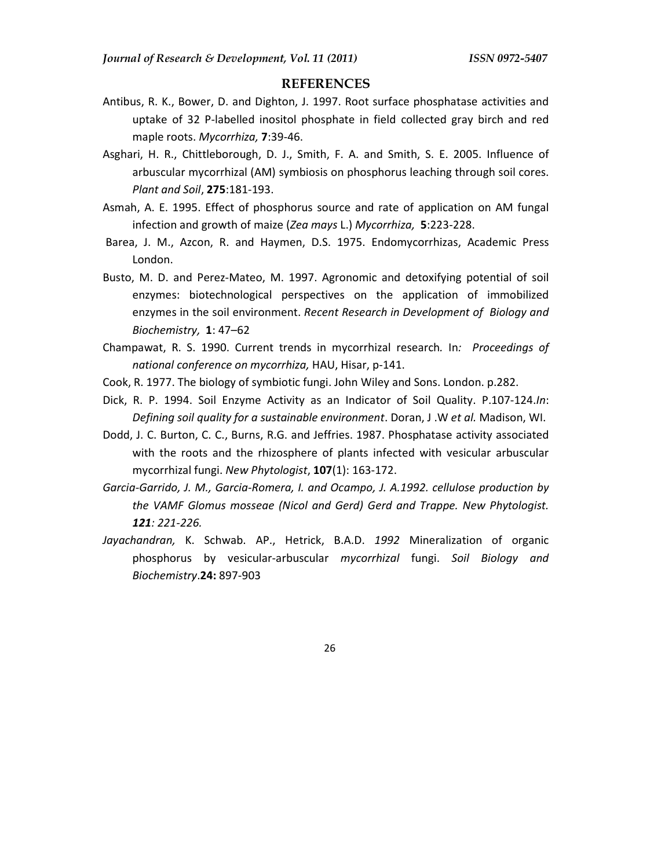#### **REFERENCES**

- Antibus, R. K., Bower, D. and Dighton, J. 1997. Root surface phosphatase activities and uptake of 32 P-labelled inositol phosphate in field collected gray birch and red maple roots. *Mycorrhiza,* **7**:39-46.
- Asghari, H. R., Chittleborough, D. J., Smith, F. A. and Smith, S. E. 2005. Influence of arbuscular mycorrhizal (AM) symbiosis on phosphorus leaching through soil cores. *Plant and Soil*, **275**:181-193.
- Asmah, A. E. 1995. Effect of phosphorus source and rate of application on AM fungal infection and growth of maize (*Zea mays* L.) *Mycorrhiza,* **5**:223-228.
- Barea, J. M., Azcon, R. and Haymen, D.S. 1975. Endomycorrhizas, Academic Press London.
- Busto, M. D. and Perez-Mateo, M. 1997. Agronomic and detoxifying potential of soil enzymes: biotechnological perspectives on the application of immobilized enzymes in the soil environment. *Recent Research in Development of Biology and Biochemistry,* **1**: 47–62
- Champawat, R. S. 1990. Current trends in mycorrhizal research*.* In*: Proceedings of national conference on mycorrhiza,* HAU, Hisar, p-141.
- Cook, R. 1977. The biology of symbiotic fungi. John Wiley and Sons. London. p.282.
- Dick, R. P. 1994. Soil Enzyme Activity as an Indicator of Soil Quality. P.107-124.*In*: *Defining soil quality for a sustainable environment*. Doran, J .W *et al.* Madison, WI.
- Dodd, J. C. Burton, C. C., Burns, R.G. and Jeffries. 1987. Phosphatase activity associated with the roots and the rhizosphere of plants infected with vesicular arbuscular mycorrhizal fungi. *New Phytologist*, **107**(1): 163-172.
- *Garcia-Garrido, J. M., Garcia-Romera, I. and Ocampo, J. A.1992. cellulose production by the VAMF Glomus mosseae (Nicol and Gerd) Gerd and Trappe. New Phytologist. 121: 221-226.*
- *Jayachandran,* K. Schwab. AP., Hetrick, B.A.D. *1992* Mineralization of organic phosphorus by vesicular-arbuscular *mycorrhizal* fungi. *Soil Biology and Biochemistry*.**24:** 897-903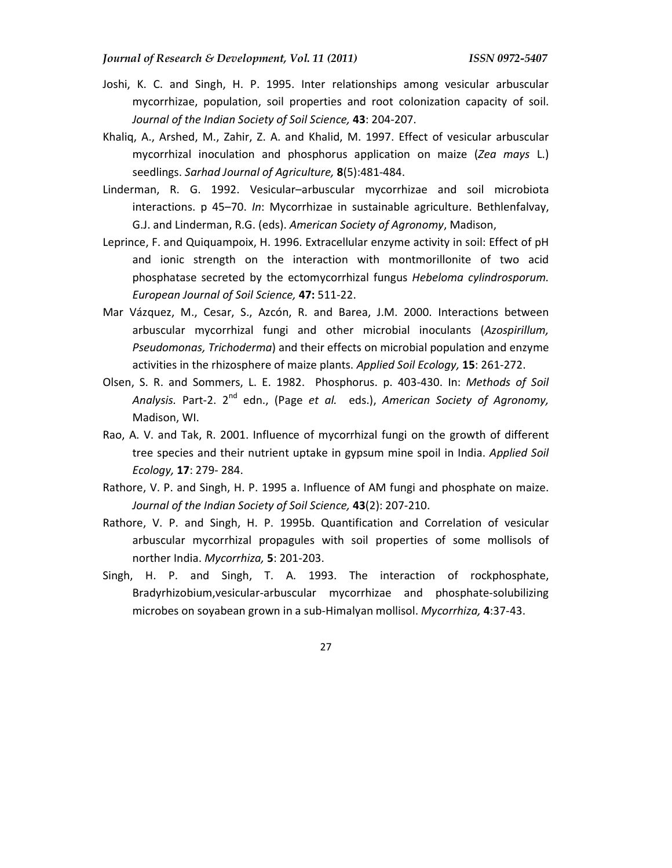- Joshi, K. C. and Singh, H. P. 1995. Inter relationships among vesicular arbuscular mycorrhizae, population, soil properties and root colonization capacity of soil. *Journal of the Indian Society of Soil Science,* **43**: 204-207.
- Khaliq, A., Arshed, M., Zahir, Z. A. and Khalid, M. 1997. Effect of vesicular arbuscular mycorrhizal inoculation and phosphorus application on maize (*Zea mays* L.) seedlings. *Sarhad Journal of Agriculture,* **8**(5):481-484.
- Linderman, R. G. 1992. Vesicular–arbuscular mycorrhizae and soil microbiota interactions. p 45–70. *In*: Mycorrhizae in sustainable agriculture. Bethlenfalvay, G.J. and Linderman, R.G. (eds). *American Society of Agronomy*, Madison,
- Leprince, F. and Quiquampoix, H. 1996. Extracellular enzyme activity in soil: Effect of pH and ionic strength on the interaction with montmorillonite of two acid phosphatase secreted by the ectomycorrhizal fungus *Hebeloma cylindrosporum. European Journal of Soil Science,* **47:** 511-22.
- Mar Vázquez, M., Cesar, S., Azcón, R. and Barea, J.M. 2000. Interactions between arbuscular mycorrhizal fungi and other microbial inoculants (*Azospirillum, Pseudomonas, Trichoderma*) and their effects on microbial population and enzyme activities in the rhizosphere of maize plants. *Applied Soil Ecology,* **15**: 261-272.
- Olsen, S. R. and Sommers, L. E. 1982. Phosphorus. p. 403-430. In: *Methods of Soil Analysis.* Part-2. 2nd edn., (Page *et al.* eds.), *American Society of Agronomy,* Madison, WI.
- Rao, A. V. and Tak, R. 2001. Influence of mycorrhizal fungi on the growth of different tree species and their nutrient uptake in gypsum mine spoil in India. *Applied Soil Ecology,* **17**: 279- 284.
- Rathore, V. P. and Singh, H. P. 1995 a. Influence of AM fungi and phosphate on maize. *Journal of the Indian Society of Soil Science,* **43**(2): 207-210.
- Rathore, V. P. and Singh, H. P. 1995b. Quantification and Correlation of vesicular arbuscular mycorrhizal propagules with soil properties of some mollisols of norther India. *Mycorrhiza,* **5**: 201-203.
- Singh, H. P. and Singh, T. A. 1993. The interaction of rockphosphate, Bradyrhizobium,vesicular-arbuscular mycorrhizae and phosphate-solubilizing microbes on soyabean grown in a sub-Himalyan mollisol. *Mycorrhiza,* **4**:37-43.